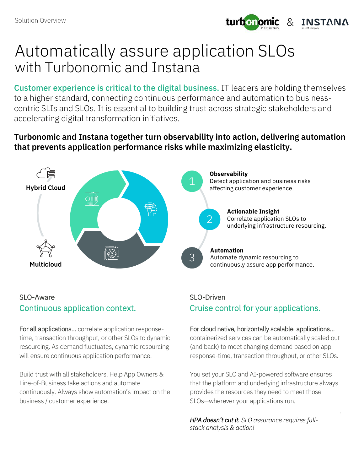

# Automatically assure application SLOs with Turbonomic and Instana

Customer experience is critical to the digital business. IT leaders are holding themselves to a higher standard, connecting continuous performance and automation to businesscentric SLIs and SLOs. It is essential to building trust across strategic stakeholders and accelerating digital transformation initiatives.

### **Turbonomic and Instana together turn observability into action, delivering automation that prevents application performance risks while maximizing elasticity.**



#### SLO-Aware Continuous application context.

For all applications… correlate application responsetime, transaction throughput, or other SLOs to dynamic resourcing. As demand fluctuates, dynamic resourcing will ensure continuous application performance.

Build trust with all stakeholders. Help App Owners & Line-of-Business take actions and automate continuously. Always show automation's impact on the business / customer experience.

## SLO-Driven Cruise control for your applications.

#### For cloud native, horizontally scalable applications…

containerized services can be automatically scaled out (and back) to meet changing demand based on app response-time, transaction throughput, or other SLOs.

You set your SLO and AI-powered software ensures that the platform and underlying infrastructure always provides the resources they need to meet those SLOs—wherever your applications run.

.

*HPA doesn't cut it. SLO assurance requires fullstack analysis & action!*